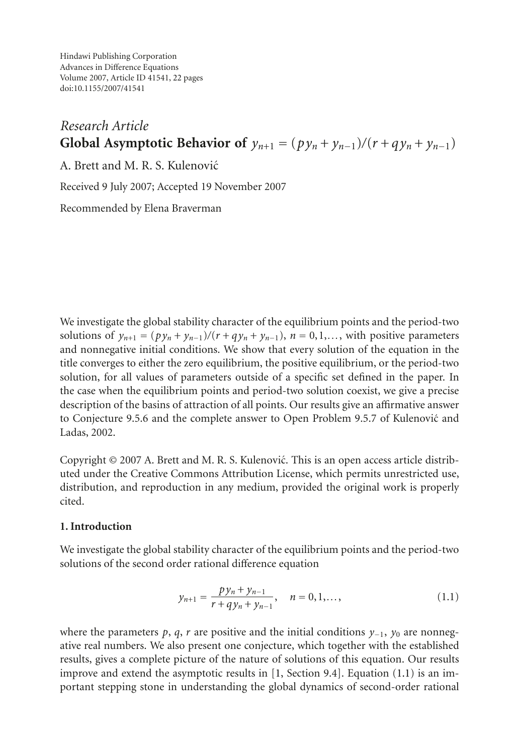Hindawi Publishing Corporation Advances in Difference Equations Volume 2007, Article ID 41541, [22](#page-20-0) pages doi:10.1155/2007/41541

# *Research Article* **Global Asymptotic Behavior of**  $y_{n+1} = (p y_n + y_{n-1})/(r + q y_n + y_{n-1})$

A. Brett and M. R. S. Kulenovic´

Received 9 July 2007; Accepted 19 November 2007

Recommended by Elena Braverman

We investigate the global stability character of the equilibrium points and the period-two solutions of  $y_{n+1} = (py_n + y_{n-1})/(r + qy_n + y_{n-1}), n = 0, 1, \ldots$ , with positive parameters and nonnegative initial conditions. We show that every solution of the equation in the title converges to either the zero equilibrium, the positive equilibrium, or the period-two solution, for all values of parameters outside of a specific set defined in the paper. In the case when the equilibrium points and period-two solution coexist, we give a precise description of the basins of attraction of all points. Our results give an affirmative answer to Conjecture 9.5.6 and the complete answer to Open Problem 9.5.7 of Kulenovic and ´ Ladas, 2002.

Copyright © 2007 A. Brett and M. R. S. Kulenovic. This is an open access article distrib- ´ uted under the Creative Commons Attribution License, which permits unrestricted use, distribution, and reproduction in any medium, provided the original work is properly cited.

## **1. Introduction**

We investigate the global stability character of the equilibrium points and the period-two solutions of the second order rational difference equation

<span id="page-0-0"></span>
$$
y_{n+1} = \frac{py_n + y_{n-1}}{r + qy_n + y_{n-1}}, \quad n = 0, 1, \dots,
$$
 (1.1)

where the parameters *p*, *q*, *r* are positive and the initial conditions  $y_{-1}$ ,  $y_0$  are nonnegative real numbers. We also present one conjecture, which together with the established results, gives a complete picture of the nature of solutions of this equation. Our results improve and extend the asymptotic results in [\[1](#page-20-1), Section 9.4]. Equation [\(1.1\)](#page-0-0) is an important stepping stone in understanding the global dynamics of second-order rational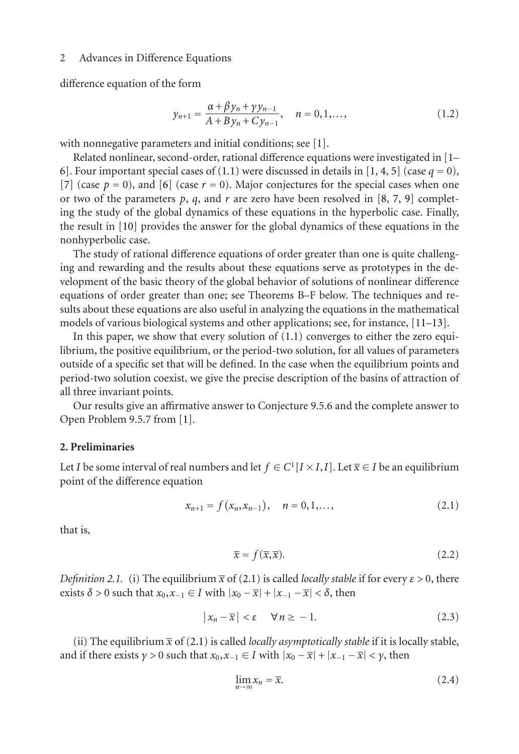difference equation of the form

$$
y_{n+1} = \frac{\alpha + \beta y_n + \gamma y_{n-1}}{A + B y_n + C y_{n-1}}, \quad n = 0, 1, \dots,
$$
 (1.2)

with nonnegative parameters and initial conditions; see [\[1\]](#page-20-1).

Related nonlinear, second-order, rational difference equations were investigated in [\[1–](#page-20-1) [6\]](#page-20-2). Four important special cases of [\(1.1\)](#page-0-0) were discussed in details in [\[1](#page-20-1), [4](#page-20-3), [5\]](#page-20-4) (case  $q = 0$ ), [\[7\]](#page-20-5) (case  $p = 0$ ), and [\[6\]](#page-20-2) (case  $r = 0$ ). Major conjectures for the special cases when one or two of the parameters  $p$ ,  $q$ , and  $r$  are zero have been resolved in [\[8,](#page-21-0) [7](#page-20-5), [9\]](#page-21-1) completing the study of the global dynamics of these equations in the hyperbolic case. Finally, the result in [\[10](#page-21-2)] provides the answer for the global dynamics of these equations in the nonhyperbolic case.

The study of rational difference equations of order greater than one is quite challenging and rewarding and the results about these equations serve as prototypes in the development of the basic theory of the global behavior of solutions of nonlinear difference equations of order greater than one; see Theorems B–F below. The techniques and results about these equations are also useful in analyzing the equations in the mathematical models of various biological systems and other applications; see, for instance, [\[11](#page-21-3)[–13](#page-21-4)].

In this paper, we show that every solution of  $(1.1)$  converges to either the zero equilibrium, the positive equilibrium, or the period-two solution, for all values of parameters outside of a specific set that will be defined. In the case when the equilibrium points and period-two solution coexist, we give the precise description of the basins of attraction of all three invariant points.

Our results give an affirmative answer to Conjecture 9.5.6 and the complete answer to Open Problem 9.5.7 from [\[1\]](#page-20-1).

#### **2. Preliminaries**

Let *I* be some interval of real numbers and let  $f \in C^1[I \times I, I]$ . Let  $\overline{x} \in I$  be an equilibrium point of the difference equation

$$
x_{n+1} = f(x_n, x_{n-1}), \quad n = 0, 1, \dots,
$$
\n(2.1)

that is,

<span id="page-1-0"></span>
$$
\overline{x} = f(\overline{x}, \overline{x}). \tag{2.2}
$$

*Definition 2.1.* (i) The equilibrium  $\bar{x}$  of [\(2.1\)](#page-1-0) is called *locally stable* if for every  $\varepsilon > 0$ , there exists  $\delta > 0$  such that  $x_0, x_{-1} \in I$  with  $|x_0 - \overline{x}| + |x_{-1} - \overline{x}| < \delta$ , then

$$
|x_n - \overline{x}| < \varepsilon \quad \forall n \ge -1. \tag{2.3}
$$

(ii) The equilibrium  $\bar{x}$  of [\(2.1\)](#page-1-0) is called *locally asymptotically stable* if it is locally stable, and if there exists  $\gamma > 0$  such that  $x_0, x_{-1} \in I$  with  $|x_0 - \overline{x}| + |x_{-1} - \overline{x}| < \gamma$ , then

$$
\lim_{n \to \infty} x_n = \overline{x}.\tag{2.4}
$$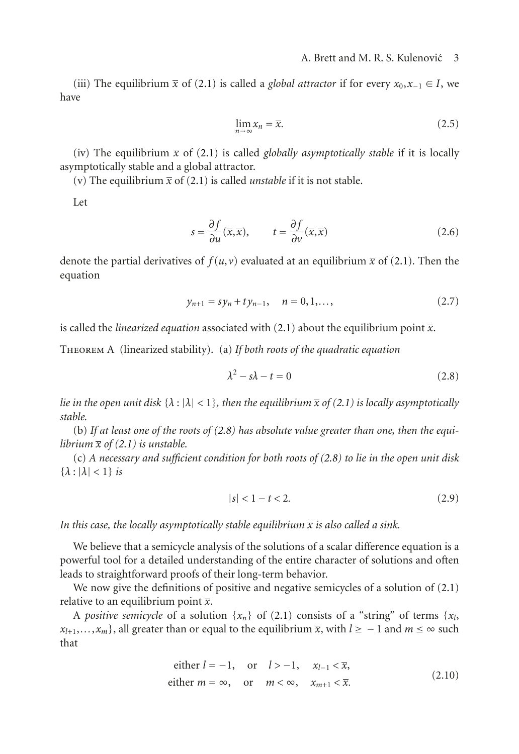(iii) The equilibrium  $\bar{x}$  of [\(2.1\)](#page-1-0) is called a *global attractor* if for every  $x_0, x_{-1} \in I$ , we have

$$
\lim_{n \to \infty} x_n = \overline{x}.\tag{2.5}
$$

(iv) The equilibrium  $\bar{x}$  of [\(2.1\)](#page-1-0) is called *globally asymptotically stable* if it is locally asymptotically stable and a global attractor.

(v) The equilibrium  $\bar{x}$  of [\(2.1\)](#page-1-0) is called *unstable* if it is not stable.

Let

$$
s = \frac{\partial f}{\partial u}(\overline{x}, \overline{x}), \qquad t = \frac{\partial f}{\partial v}(\overline{x}, \overline{x})
$$
 (2.6)

denote the partial derivatives of  $f(u, v)$  evaluated at an equilibrium  $\bar{x}$  of [\(2.1\)](#page-1-0). Then the equation

$$
y_{n+1} = sy_n + ty_{n-1}, \quad n = 0, 1, \dots,
$$
\n(2.7)

is called the *linearized equation* associated with [\(2.1\)](#page-1-0) about the equilibrium point  $\bar{x}$ .

Theorem A (linearized stability). (a) *If both roots of the quadratic equation*

<span id="page-2-0"></span>
$$
\lambda^2 - s\lambda - t = 0 \tag{2.8}
$$

*lie in the open unit disk*  $\{\lambda : |\lambda| < 1\}$ *, then the equilibrium*  $\overline{x}$  *of* [\(2.1\)](#page-1-0) *is locally asymptotically stable.*

(b) *If at least one of the roots of [\(2.8\)](#page-2-0) has absolute value greater than one, then the equilibrium*  $\bar{x}$  *of* [\(2.1\)](#page-1-0) *is unstable.* 

(c) *A necessary and sufficient condition for both roots of [\(2.8\)](#page-2-0) to lie in the open unit disk*  $\{\lambda : |\lambda| < 1\}$  *is* 

$$
|s| < 1 - t < 2. \tag{2.9}
$$

In this case, the locally asymptotically stable equilibrium  $\bar{x}$  is also called a sink.

We believe that a semicycle analysis of the solutions of a scalar difference equation is a powerful tool for a detailed understanding of the entire character of solutions and often leads to straightforward proofs of their long-term behavior.

We now give the definitions of positive and negative semicycles of a solution of  $(2.1)$ relative to an equilibrium point  $\bar{x}$ .

A *positive semicycle* of a solution  $\{x_n\}$  of [\(2.1\)](#page-1-0) consists of a "string" of terms  $\{x_i\}$  $x_{l+1},...,x_m$ , all greater than or equal to the equilibrium  $\bar{x}$ , with  $l \ge -1$  and  $m \le \infty$  such that

either 
$$
l = -1
$$
, or  $l > -1$ ,  $x_{l-1} < \overline{x}$ ,  
either  $m = \infty$ , or  $m < \infty$ ,  $x_{m+1} < \overline{x}$ . (2.10)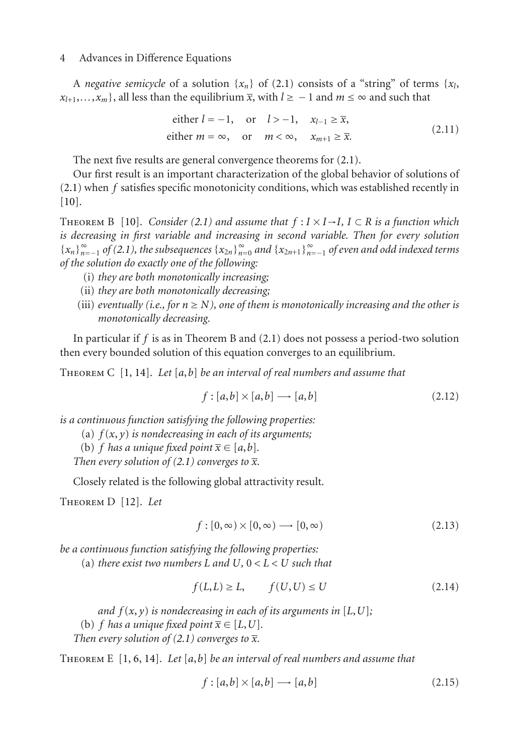A *negative semicycle* of a solution  $\{x_n\}$  of [\(2.1\)](#page-1-0) consists of a "string" of terms  $\{x_l\}$  $x_{l+1},...,x_m$ , all less than the equilibrium  $\overline{x}$ , with  $l \geq -1$  and  $m \leq \infty$  and such that

either 
$$
l = -1
$$
, or  $l > -1$ ,  $x_{l-1} \ge \overline{x}$ ,  
either  $m = \infty$ , or  $m < \infty$ ,  $x_{m+1} \ge \overline{x}$ . (2.11)

The next five results are general convergence theorems for [\(2.1\)](#page-1-0).

Our first result is an important characterization of the global behavior of solutions of [\(2.1\)](#page-1-0) when *f* satisfies specific monotonicity conditions, which was established recently in [\[10\]](#page-21-2).

THEOREM B [[10](#page-21-2)]. *Consider* [\(2.1\)](#page-1-0) and assume that  $f: I \times I \rightarrow I$ ,  $I \subset R$  is a function which *is decreasing in first variable and increasing in second variable. Then for every solution*  ${x_{n}}_{n=1}^{N_{n=1}}$  *of [\(2.1\)](#page-1-0), the subsequences*  ${x_{2n}}_{n=0}^{N_{n=0}}$  *and*  ${x_{2n+1}}_{n=-1}^{N_{n=0}}$  *of even and odd indexed terms*<br>*of the solution do exactly one of the following: of the solution do exactly one of the following:*

- (i) *they are both monotonically increasing;*
- (ii) *they are both monotonically decreasing;*
- (iii) *eventually (i.e., for*  $n \geq N$ *), one of them is monotonically increasing and the other is monotonically decreasing.*

In particular if *f* is as in Theorem B and [\(2.1\)](#page-1-0) does not possess a period-two solution then every bounded solution of this equation converges to an equilibrium.

Theorem C [[1](#page-20-1), [14](#page-21-5)]. *Let* [*a*,*b*] *be an interval of real numbers and assume that*

$$
f: [a, b] \times [a, b] \longrightarrow [a, b] \tag{2.12}
$$

*is a continuous function satisfying the following properties:*

- (a) *f* (*x*, *y*) *is nondecreasing in each of its arguments;*
- (b) *f* has a unique fixed point  $\overline{x} \in [a, b]$ .

*Then every solution of* [\(2.1\)](#page-1-0) *converges to*  $\bar{x}$ *.* 

Closely related is the following global attractivity result.

Theorem D [[12](#page-21-6)]. *Let*

$$
f: [0, \infty) \times [0, \infty) \longrightarrow [0, \infty)
$$
\n
$$
(2.13)
$$

*be a continuous function satisfying the following properties:*

(a) *there exist two numbers*  $L$  *and*  $U, 0 < L < U$  *such that* 

$$
f(L, L) \ge L, \qquad f(U, U) \le U \tag{2.14}
$$

*and*  $f(x, y)$  *is nondecreasing in each of its arguments in* [ $L, U$ ];

(b) *f* has a unique fixed point  $\overline{x} \in [L, U]$ .

*Then every solution of [\(2.1\)](#page-1-0) converges to*  $\bar{x}$ *.* 

Theorem E [[1](#page-20-1), [6](#page-20-2), [14](#page-21-5)]. *Let* [*a*,*b*] *be an interval of real numbers and assume that*

$$
f: [a, b] \times [a, b] \longrightarrow [a, b] \tag{2.15}
$$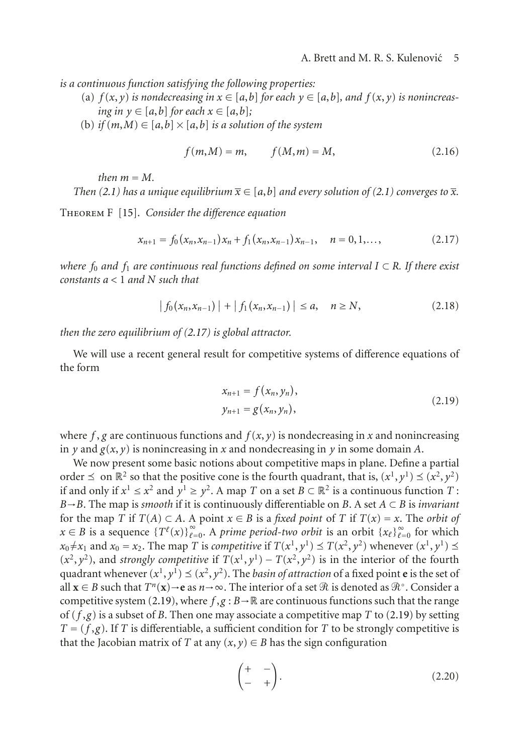*is a continuous function satisfying the following properties:*

- (a)  $f(x, y)$  *is nondecreasing in*  $x \in [a, b]$  *for each*  $y \in [a, b]$ *, and*  $f(x, y)$  *is nonincreasing in*  $y \in [a, b]$  *for each*  $x \in [a, b]$ ;
- (b) *if*  $(m, M) \in [a, b] \times [a, b]$  *is a solution of the system*

<span id="page-4-0"></span>
$$
f(m,M) = m,
$$
  $f(M,m) = M,$  (2.16)

 $then$   $m = M$ .

*Then* [\(2.1\)](#page-1-0) has a unique equilibrium  $\bar{x} \in [a, b]$  and every solution of (2.1) converges to  $\bar{x}$ .

Theorem F [[15](#page-21-7)]. *Consider the difference equation*

$$
x_{n+1} = f_0(x_n, x_{n-1})x_n + f_1(x_n, x_{n-1})x_{n-1}, \quad n = 0, 1, \dots,
$$
 (2.17)

*where <sup>f</sup>*<sup>0</sup> *and <sup>f</sup>*<sup>1</sup> *are continuous real functions defined on some interval <sup>I</sup>* <sup>⊂</sup> *<sup>R</sup>. If there exist constants a <* <sup>1</sup> *and N such that*

$$
|f_0(x_n, x_{n-1})| + |f_1(x_n, x_{n-1})| \le a, \quad n \ge N,
$$
 (2.18)

*then the zero equilibrium of [\(2.17\)](#page-4-0) is global attractor.*

We will use a recent general result for competitive systems of difference equations of the form

<span id="page-4-1"></span>
$$
x_{n+1} = f(x_n, y_n),
$$
  
\n
$$
y_{n+1} = g(x_n, y_n),
$$
\n(2.19)

where  $f$ ,  $g$  are continuous functions and  $f(x, y)$  is nondecreasing in  $x$  and nonincreasing in *y* and  $g(x, y)$  is nonincreasing in *x* and nondecreasing in *y* in some domain *A*.

We now present some basic notions about competitive maps in plane. Define a partial order  $\leq$  on  $\mathbb{R}^2$  so that the positive cone is the fourth quadrant, that is,  $(x^1, y^1) \leq (x^2, y^2)$ if and only if  $x^1 \le x^2$  and  $y^1 \ge y^2$ . A map *T* on a set  $B \subset \mathbb{R}^2$  is a continuous function *T* : *B*→*B*. The map is *smooth* if it is continuously differentiable on *B*. A set *A* <sup>⊂</sup> *B* is *invariant* for the map *T* if  $T(A) \subset A$ . A point  $x \in B$  is a *fixed point* of *T* if  $T(x) = x$ . The *orbit of x* ∈ *B* is a sequence  $\{T^{\ell}(x)\}_{\ell=0}^{\infty}$ . A *prime period-two orbit* is an orbit  $\{x_{\ell}\}_{\ell=0}^{\infty}$  for which  $x_0 \neq x_1$  and  $x_0 = x_0$ . The man *T* is *competitive* if  $T(x^1, y^1) \prec T(x^2, y^2)$  whenever  $(x^1, y^1) \prec$ *x*0  $x_0 \neq x_1$  and  $x_0 = x_2$ . The map *T* is *competitive* if  $T(x^1, y^1) \leq T(x^2, y^2)$  whenever  $(x^1, y^1) \leq T(x^2, y^2)$  $(x^2, y^2)$ , and *strongly competitive* if  $T(x^1, y^1) - T(x^2, y^2)$  is in the interior of the fourth quadrant whenever  $(x^1, y^1) \prec (x^2, y^2)$ . The hasin of attraction of a fixed point e is the set of quadrant whenever  $(x^1, y^1) \leq (x^2, y^2)$ . The *basin of attraction* of a fixed point **e** is the set of all **x** ∈ *B* such that  $T^n(\mathbf{x}) \to \mathbf{e}$  as  $n \to \infty$ . The interior of a set  $\Re$  is denoted as  $\Re^\circ$ . Consider a competitive system (2.19), where  $f, \alpha : \mathbb{R} \to \mathbb{R}$  are continuous functions such that the range competitive system [\(2.19\)](#page-4-1), where  $f, g : B \to \mathbb{R}$  are continuous functions such that the range of  $(f, g)$  is a subset of *B*. Then one may associate a competitive map *T* to [\(2.19\)](#page-4-1) by setting  $T = (f, g)$ . If *T* is differentiable, a sufficient condition for *T* to be strongly competitive is that the Jacobian matrix of *T* at any  $(x, y) \in B$  has the sign configuration

$$
\begin{pmatrix} + & - \\ - & + \end{pmatrix}.
$$
 (2.20)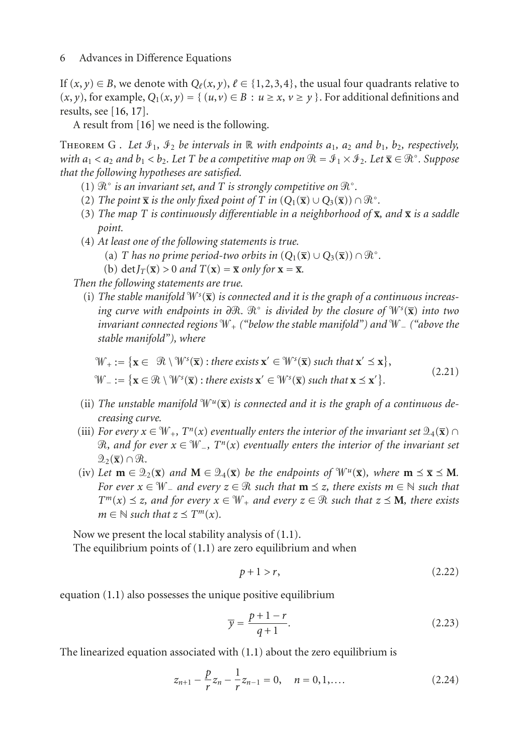If  $(x, y) \in B$ , we denote with  $Q_{\ell}(x, y), \ell \in \{1, 2, 3, 4\}$ , the usual four quadrants relative to  $(x, y)$ , for example,  $Q_1(x, y) = \{ (u, v) \in B : u \ge x, v \ge y \}$ . For additional definitions and results, see [\[16](#page-21-8), [17\]](#page-21-9).

A result from [\[16](#page-21-8)] we need is the following.

THEOREM G. Let  $\mathcal{I}_1$ ,  $\mathcal{I}_2$  be intervals in R with endpoints  $a_1$ ,  $a_2$  and  $b_1$ ,  $b_2$ , respectively, *with a*<sub>1</sub> < *a*<sub>2</sub> *and b*<sub>1</sub> < *b*<sub>2</sub>*. Let T be a competitive map on*  $\mathcal{R} = \mathcal{I}_1 \times \mathcal{I}_2$ *. Let*  $\overline{\mathbf{x}} \in \mathcal{R}^\circ$ *. Suppose*<br>*that the following hypotheses are satisfied that the following hypotheses are satisfied.*

- (1)  $\mathcal{R}^{\circ}$  *is an invariant set, and*  $T$  *is strongly competitive on*  $\mathcal{R}^{\circ}$ *.*<br>(2) The point  $\overline{\mathbf{x}}$  *is the only fixed point of*  $T$  *in*  $(O, (\overline{\mathbf{x}}) \cup O, (\overline{\mathbf{x}}))$
- (2) The point  $\overline{\mathbf{x}}$  is the only fixed point of  $T$  in  $(Q_1(\overline{\mathbf{x}}) \cup Q_3(\overline{\mathbf{x}})) \cap \mathcal{R}^{\circ}$ .<br>
(3) The map  $T$  is continuously differentiable in a neighborhood of  $\overline{\mathbf{x}}$
- (3) *The map T is continuously differentiable in a neighborhood of*  $\bar{x}$ *, and*  $\bar{x}$  *is a saddle point.*
- (4) *At least one of the following statements is true.*
	- (a) *T* has no prime period-two orbits in  $(Q_1(\overline{x}) \cup Q_3(\overline{x})) \cap \mathcal{R}^{\circ}$ .<br>
	(b) det  $I_{\mathcal{F}}(\overline{x}) > 0$  and  $T(x) \overline{x}$  only for  $\mathbf{x} \overline{\mathbf{x}}$
	- (b) det $I_T(\bar{x}) > 0$  *and*  $T(x) = \bar{x}$  *only for*  $x = \bar{x}$ *.*

*Then the following statements are true.*

(i) The stable manifold  $\mathbb{W}^s(\overline{\mathbf{x}})$  is connected and it is the graph of a continuous increas*ing curve with endpoints in ∂R. R° is divided by the closure of <sup>Ws</sup>(x) into two<br>invariant connected regions W. ("helow the stable manifold") and W. ("above the invariant connected regions* <sup> $W$ </sup>+ ("below the stable manifold") and  $W$  – ("above the *stable manifold"), where*

$$
\mathcal{W}_{+} := \{ \mathbf{x} \in \mathcal{R} \setminus \mathcal{W}^{s}(\overline{\mathbf{x}}) : \text{there exists } \mathbf{x}' \in \mathcal{W}^{s}(\overline{\mathbf{x}}) \text{ such that } \mathbf{x}' \leq \mathbf{x} \},
$$
\n
$$
\mathcal{W}_{-} := \{ \mathbf{x} \in \mathcal{R} \setminus \mathcal{W}^{s}(\overline{\mathbf{x}}) : \text{there exists } \mathbf{x}' \in \mathcal{W}^{s}(\overline{\mathbf{x}}) \text{ such that } \mathbf{x} \leq \mathbf{x}' \}. \tag{2.21}
$$

- (ii) The unstable manifold  $\mathbb{W}^u(\overline{\mathbf{x}})$  is connected and it is the graph of a continuous de*creasing curve.*
- (iii) *For every*  $x \in W_+$ ,  $T^n(x)$  *eventually enters the interior of the invariant set*  $\mathcal{Q}_4(\bar{x}) \cap$  $\Re$ , and for ever  $x \in \mathbb{W}_-$ ,  $T^n(x)$  eventually enters the interior of the invariant set<br> $\Im_{\alpha}(\overline{x}) \cap \Re$  $\mathfrak{D}_2(\overline{\mathbf{x}}) \cap \mathfrak{R}.$
- (iv) Let  $\mathbf{m} \in \mathcal{Q}_2(\overline{\mathbf{x}})$  and  $\mathbf{M} \in \mathcal{Q}_4(\overline{\mathbf{x}})$  be the endpoints of  $\mathcal{W}^u(\overline{\mathbf{x}})$ , where  $\mathbf{m} \preceq \overline{\mathbf{x}} \preceq \mathbf{M}$ . *For ever*  $x \in \mathbb{W}_-$  and every  $z \in \mathbb{R}$  such that  $\mathbf{m} \leq z$ , there exists  $m \in \mathbb{N}$  such that  $\tau \leq \mathbb{M}$  and for every  $x \in \mathbb{W}_+$  and every  $z \in \mathbb{R}$  such that  $z \leq \mathbf{M}$  there exists  $T^m(x) \leq z$ , and for every  $x \in W_+$  and every  $z \in \mathbb{R}$  such that  $z \leq M$ , there exists  $m \in \mathbb{N}$  such that  $z \leq T^m(x)$  $m \in \mathbb{N}$  *such that*  $z \preceq T^m(x)$ *.*

Now we present the local stability analysis of [\(1.1\)](#page-0-0). The equilibrium points of  $(1.1)$  are zero equilibrium and when

<span id="page-5-0"></span>
$$
p+1 > r,\tag{2.22}
$$

equation [\(1.1\)](#page-0-0) also possesses the unique positive equilibrium

$$
\overline{y} = \frac{p+1-r}{q+1}.\tag{2.23}
$$

The linearized equation associated with [\(1.1\)](#page-0-0) about the zero equilibrium is

$$
z_{n+1} - \frac{p}{r} z_n - \frac{1}{r} z_{n-1} = 0, \quad n = 0, 1, \dots
$$
 (2.24)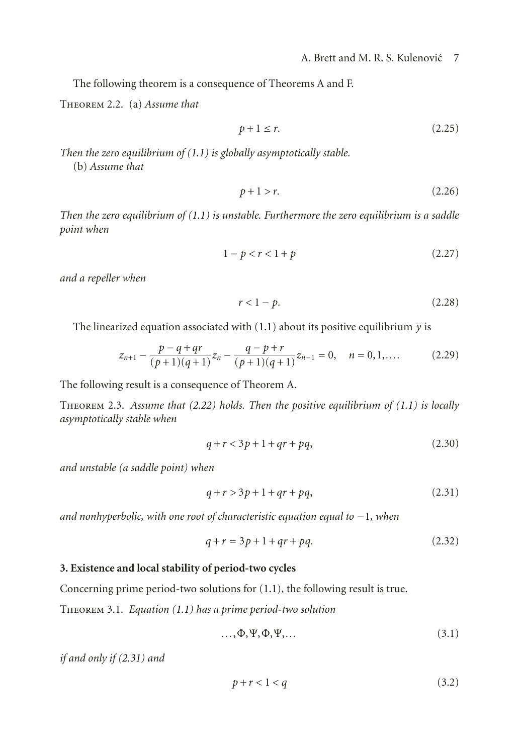The following theorem is a consequence of Theorems A and F.

Theorem 2.2. (a) *Assume that*

$$
p+1 \le r. \tag{2.25}
$$

*Then the zero equilibrium of [\(1.1\)](#page-0-0) is globally asymptotically stable.* (b) *Assume that*

$$
p+1 > r.\tag{2.26}
$$

*Then the zero equilibrium of [\(1.1\)](#page-0-0) is unstable. Furthermore the zero equilibrium is a saddle point when*

$$
1 - p < r < 1 + p \tag{2.27}
$$

*and a repeller when*

$$
r < 1 - p. \tag{2.28}
$$

The linearized equation associated with [\(1.1\)](#page-0-0) about its positive equilibrium  $\bar{y}$  is

$$
z_{n+1} - \frac{p - q + qr}{(p+1)(q+1)} z_n - \frac{q - p + r}{(p+1)(q+1)} z_{n-1} = 0, \quad n = 0, 1, \dots
$$
 (2.29)

The following result is a consequence of Theorem A.

Theorem 2.3. *Assume that [\(2.22\)](#page-5-0) holds. Then the positive equilibrium of [\(1.1\)](#page-0-0) is locally asymptotically stable when*

<span id="page-6-2"></span>
$$
q + r < 3p + 1 + qr + pq,\tag{2.30}
$$

*and unstable (a saddle point) when*

<span id="page-6-0"></span>
$$
q + r > 3p + 1 + qr + pq,
$$
 (2.31)

*and nonhyperbolic, with one root of characteristic equation equal to* −1*, when*

$$
q + r = 3p + 1 + qr + pq.
$$
 (2.32)

#### **3. Existence and local stability of period-two cycles**

<span id="page-6-1"></span>Concerning prime period-two solutions for [\(1.1\)](#page-0-0), the following result is true.

Theorem 3.1. *Equation [\(1.1\)](#page-0-0) has a prime period-two solution*

$$
\ldots, \Phi, \Psi, \Phi, \Psi, \ldots \tag{3.1}
$$

*if and only if [\(2.31\)](#page-6-0) and*

<span id="page-6-3"></span>
$$
p+r<1\n<sup>(3.2)</sup>
$$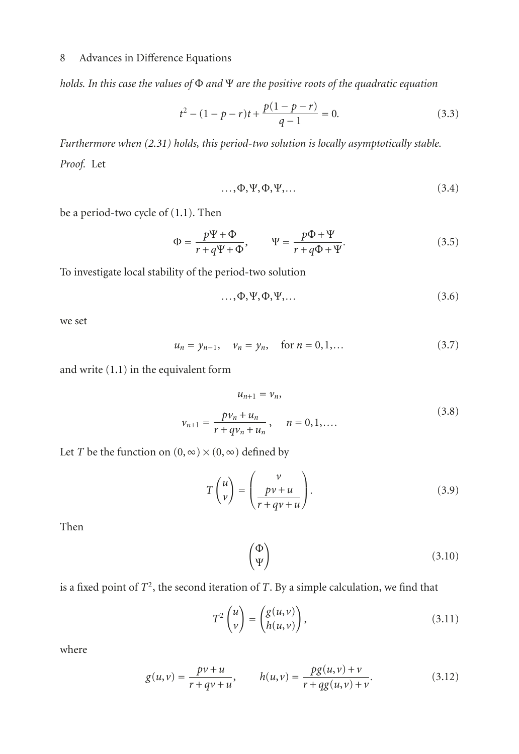*holds. In this case the values of* Φ *and* Ψ *are the positive roots of the quadratic equation*

$$
t^{2} - (1 - p - r)t + \frac{p(1 - p - r)}{q - 1} = 0.
$$
 (3.3)

*Furthermore when [\(2.31\)](#page-6-0) holds, this period-two solution is locally asymptotically stable. Proof.* Let

<span id="page-7-0"></span>
$$
\ldots, \Phi, \Psi, \Phi, \Psi, \ldots \tag{3.4}
$$

be a period-two cycle of [\(1.1\)](#page-0-0). Then

$$
\Phi = \frac{p\Psi + \Phi}{r + q\Psi + \Phi}, \qquad \Psi = \frac{p\Phi + \Psi}{r + q\Phi + \Psi}.
$$
\n(3.5)

To investigate local stability of the period-two solution

$$
\ldots, \Phi, \Psi, \Phi, \Psi, \ldots \tag{3.6}
$$

we set

$$
u_n = y_{n-1}, \quad v_n = y_n, \quad \text{for } n = 0, 1, \dots \tag{3.7}
$$

and write [\(1.1\)](#page-0-0) in the equivalent form

$$
u_{n+1} = v_n,
$$
  

$$
v_{n+1} = \frac{pv_n + u_n}{r + qv_n + u_n}, \quad n = 0, 1, ....
$$
 (3.8)

Let *T* be the function on  $(0, \infty) \times (0, \infty)$  defined by

$$
T\begin{pmatrix}u\\v\end{pmatrix} = \begin{pmatrix}v\\pv+u\\r+qv+u\end{pmatrix}.
$$
 (3.9)

Then

$$
\begin{pmatrix} \Phi \\ \Psi \end{pmatrix} \tag{3.10}
$$

is a fixed point of *T*2, the second iteration of *<sup>T</sup>*. By a simple calculation, we find that

$$
T^{2}\begin{pmatrix}u\\v\end{pmatrix} = \begin{pmatrix}g(u,v)\\h(u,v)\end{pmatrix},\tag{3.11}
$$

where

$$
g(u,v) = \frac{pv+u}{r+qv+u}, \qquad h(u,v) = \frac{pg(u,v)+v}{r+qg(u,v)+v}.
$$
 (3.12)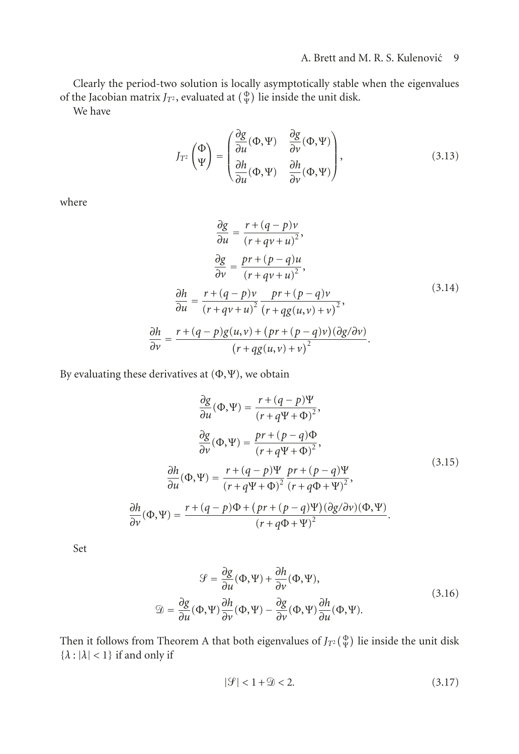Clearly the period-two solution is locally asymptotically stable when the eigenvalues of the Jacobian matrix  $J_{T^2}$ , evaluated at  $(\frac{\Phi}{\Psi})$  lie inside the unit disk.<br>We have

We have

$$
J_{T^2}\begin{pmatrix} \Phi \\ \Psi \end{pmatrix} = \begin{pmatrix} \frac{\partial g}{\partial u}(\Phi, \Psi) & \frac{\partial g}{\partial v}(\Phi, \Psi) \\ \frac{\partial h}{\partial u}(\Phi, \Psi) & \frac{\partial h}{\partial v}(\Phi, \Psi) \end{pmatrix},\tag{3.13}
$$

where

$$
\frac{\partial g}{\partial u} = \frac{r + (q - p)v}{(r + qv + u)^2},
$$
\n
$$
\frac{\partial g}{\partial v} = \frac{pr + (p - q)u}{(r + qv + u)^2},
$$
\n
$$
\frac{\partial h}{\partial u} = \frac{r + (q - p)v}{(r + qv + u)^2} \frac{pr + (p - q)v}{(r + qg(u, v) + v)^2},
$$
\n
$$
\frac{\partial h}{\partial v} = \frac{r + (q - p)g(u, v) + (pr + (p - q)v)(\partial g/\partial v)}{(r + qg(u, v) + v)^2}.
$$
\n(3.14)

By evaluating these derivatives at  $(\Phi, \Psi)$ , we obtain

$$
\frac{\partial g}{\partial u}(\Phi, \Psi) = \frac{r + (q - p)\Psi}{(r + q\Psi + \Phi)^2},
$$
\n
$$
\frac{\partial g}{\partial v}(\Phi, \Psi) = \frac{pr + (p - q)\Phi}{(r + q\Psi + \Phi)^2},
$$
\n
$$
\frac{\partial h}{\partial u}(\Phi, \Psi) = \frac{r + (q - p)\Psi}{(r + q\Psi + \Phi)^2} \frac{pr + (p - q)\Psi}{(r + q\Phi + \Psi)^2},
$$
\n
$$
\frac{\partial h}{\partial v}(\Phi, \Psi) = \frac{r + (q - p)\Phi + (pr + (p - q)\Psi)(\partial g/\partial v)(\Phi, \Psi)}{(r + q\Phi + \Psi)^2}.
$$
\n(3.15)

Set

$$
\mathcal{G} = \frac{\partial g}{\partial u}(\Phi, \Psi) + \frac{\partial h}{\partial v}(\Phi, \Psi),
$$
  

$$
\mathcal{D} = \frac{\partial g}{\partial u}(\Phi, \Psi)\frac{\partial h}{\partial v}(\Phi, \Psi) - \frac{\partial g}{\partial v}(\Phi, \Psi)\frac{\partial h}{\partial u}(\Phi, \Psi).
$$
 (3.16)

Then it follows from Theorem A that both eigenvalues of  $J_{T^2}(\frac{\Phi}{Y})$  lie inside the unit disk  ${ \lambda : | \lambda | < 1 }$  if and only if

<span id="page-8-0"></span>
$$
|\mathcal{G}| < 1 + \mathcal{D} < 2. \tag{3.17}
$$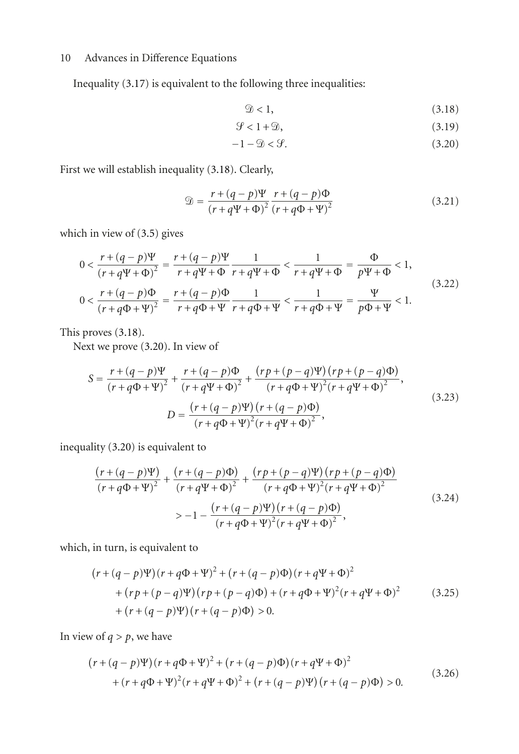Inequality [\(3.17\)](#page-8-0) is equivalent to the following three inequalities:

<span id="page-9-2"></span><span id="page-9-1"></span><span id="page-9-0"></span>
$$
\mathcal{D} < 1,\tag{3.18}
$$
\n
$$
\mathcal{L} = \mathcal{L} \tag{3.19}
$$

$$
\mathcal{G} < 1 + \mathcal{D},\tag{3.19}
$$
\n
$$
\mathcal{L} \quad \text{(3.20)}
$$

$$
-1 - \mathfrak{D} < \mathcal{G}.\tag{3.20}
$$

First we will establish inequality [\(3.18\)](#page-9-0). Clearly,

$$
\mathcal{D} = \frac{r + (q - p)\Psi}{(r + q\Psi + \Phi)^2} \frac{r + (q - p)\Phi}{(r + q\Phi + \Psi)^2}
$$
(3.21)

which in view of [\(3.5\)](#page-7-0) gives

$$
0 < \frac{r + (q - p)\Psi}{(r + q\Psi + \Phi)^2} = \frac{r + (q - p)\Psi}{r + q\Psi + \Phi} \frac{1}{r + q\Psi + \Phi} < \frac{1}{r + q\Psi + \Phi} = \frac{\Phi}{p\Psi + \Phi} < 1,
$$
\n
$$
0 < \frac{r + (q - p)\Phi}{(r + q\Phi + \Psi)^2} = \frac{r + (q - p)\Phi}{r + q\Phi + \Psi} \frac{1}{r + q\Phi + \Psi} < \frac{1}{r + q\Phi + \Psi} = \frac{\Psi}{p\Phi + \Psi} < 1.
$$
\n
$$
(3.22)
$$

This proves [\(3.18\)](#page-9-0).

Next we prove [\(3.20\)](#page-9-1). In view of

$$
S = \frac{r + (q - p)\Psi}{(r + q\Phi + \Psi)^2} + \frac{r + (q - p)\Phi}{(r + q\Psi + \Phi)^2} + \frac{(rp + (p - q)\Psi)(rp + (p - q)\Phi)}{(r + q\Phi + \Psi)^2(r + q\Psi + \Phi)^2},
$$
  
\n
$$
D = \frac{(r + (q - p)\Psi)(r + (q - p)\Phi)}{(r + q\Phi + \Psi)^2(r + q\Psi + \Phi)^2},
$$
\n(3.23)

inequality [\(3.20\)](#page-9-1) is equivalent to

$$
\frac{(r+(q-p)\Psi)}{(r+q\Phi+\Psi)^2} + \frac{(r+(q-p)\Phi)}{(r+q\Psi+\Phi)^2} + \frac{(rp+(p-q)\Psi)(rp+(p-q)\Phi)}{(r+q\Phi+\Psi)^2(r+q\Psi+\Phi)^2}
$$
\n
$$
> -1 - \frac{(r+(q-p)\Psi)(r+(q-p)\Phi)}{(r+q\Phi+\Psi)^2(r+q\Psi+\Phi)^2},
$$
\n(3.24)

which, in turn, is equivalent to

$$
(r + (q - p)\Psi)(r + q\Phi + \Psi)^2 + (r + (q - p)\Phi)(r + q\Psi + \Phi)^2
$$
  
+ 
$$
(rp + (p - q)\Psi)(rp + (p - q)\Phi) + (r + q\Phi + \Psi)^2(r + q\Psi + \Phi)^2
$$
  
+ 
$$
(r + (q - p)\Psi)(r + (q - p)\Phi) > 0.
$$
 (3.25)

In view of  $q > p$ , we have

$$
(r + (q - p)\Psi)(r + q\Phi + \Psi)^2 + (r + (q - p)\Phi)(r + q\Psi + \Phi)^2 + (r + q\Phi + \Psi)^2(r + q\Psi + \Phi)^2 + (r + (q - p)\Psi)(r + (q - p)\Phi) > 0.
$$
 (3.26)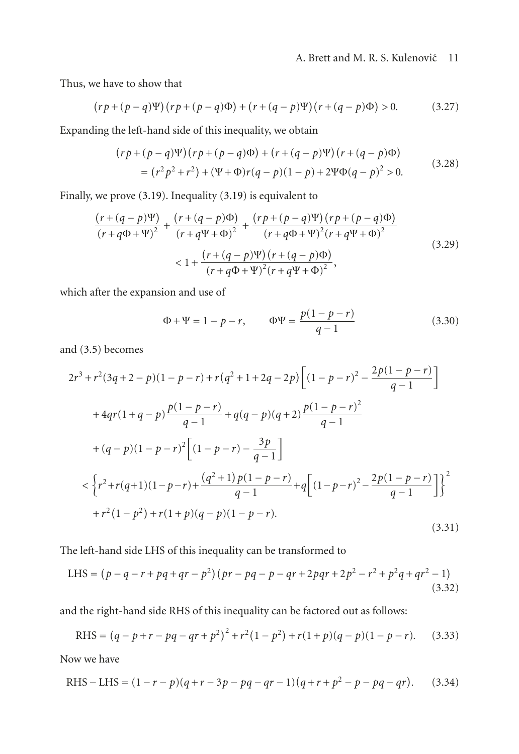## A. Brett and M. R. S. Kulenović 11

Thus, we have to show that

$$
(rp + (p - q)\Psi)(rp + (p - q)\Phi) + (r + (q - p)\Psi)(r + (q - p)\Phi) > 0.
$$
 (3.27)

Expanding the left-hand side of this inequality, we obtain

$$
(rp + (p - q)\Psi)(rp + (p - q)\Phi) + (r + (q - p)\Psi)(r + (q - p)\Phi)
$$
  
=  $(r^2p^2 + r^2) + (\Psi + \Phi)r(q - p)(1 - p) + 2\Psi\Phi(q - p)^2 > 0.$  (3.28)

Finally, we prove [\(3.19\)](#page-9-2). Inequality [\(3.19\)](#page-9-2) is equivalent to

$$
\frac{(r+(q-p)\Psi)}{(r+q\Phi+\Psi)^2} + \frac{(r+(q-p)\Phi)}{(r+q\Psi+\Phi)^2} + \frac{(rp+(p-q)\Psi)(rp+(p-q)\Phi)}{(r+q\Phi+\Psi)^2(r+q\Psi+\Phi)^2}
$$
\n
$$
< 1 + \frac{(r+(q-p)\Psi)(r+(q-p)\Phi)}{(r+q\Phi+\Psi)^2(r+q\Psi+\Phi)^2},
$$
\n(3.29)

which after the expansion and use of

$$
\Phi + \Psi = 1 - p - r, \qquad \Phi \Psi = \frac{p(1 - p - r)}{q - 1}
$$
\n(3.30)

and [\(3.5\)](#page-7-0) becomes

$$
2r^{3} + r^{2}(3q + 2 - p)(1 - p - r) + r(q^{2} + 1 + 2q - 2p)\left[\left(1 - p - r\right)^{2} - \frac{2p(1 - p - r)}{q - 1}\right]
$$
  
+ 
$$
4qr(1 + q - p)\frac{p(1 - p - r)}{q - 1} + q(q - p)(q + 2)\frac{p(1 - p - r)^{2}}{q - 1}
$$
  
+ 
$$
(q - p)(1 - p - r)^{2}\left[\left(1 - p - r\right) - \frac{3p}{q - 1}\right]
$$
  

$$
< \left\{r^{2} + r(q + 1)(1 - p - r) + \frac{(q^{2} + 1)p(1 - p - r)}{q - 1} + q\left[(1 - p - r)^{2} - \frac{2p(1 - p - r)}{q - 1}\right]\right\}^{2}
$$
  
+ 
$$
r^{2}(1 - p^{2}) + r(1 + p)(q - p)(1 - p - r).
$$
  
(3.31)

The left-hand side LHS of this inequality can be transformed to

LHS = 
$$
(p - q - r + pq + qr - p^2)(pr - pq - p - qr + 2pqr + 2p^2 - r^2 + p^2q + qr^2 - 1)
$$
 (3.32)

and the right-hand side RHS of this inequality can be factored out as follows:

RHS = 
$$
(q - p + r - pq - qr + p^2)^2 + r^2(1 - p^2) + r(1 + p)(q - p)(1 - p - r).
$$
 (3.33)

Now we have

RHS – LHS = 
$$
(1 - r - p)(q + r - 3p - pq - qr - 1)(q + r + p^2 - p - pq - qr)
$$
. (3.34)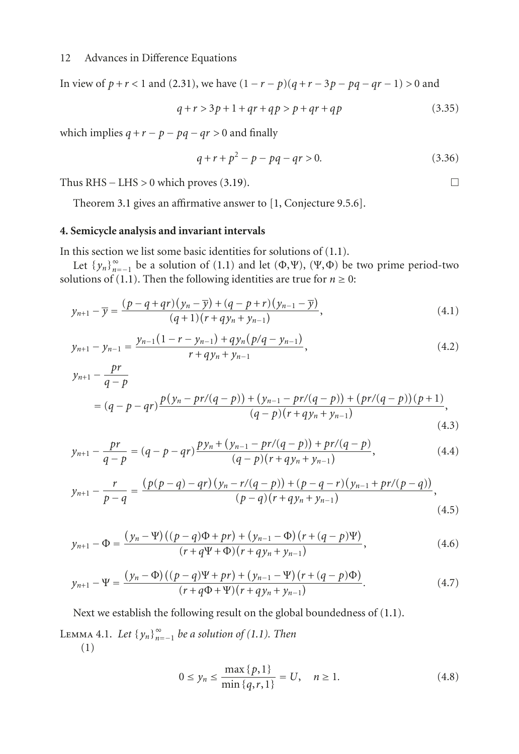In view of *p* + *r* < 1 and [\(2.31\)](#page-6-0), we have  $(1 - r - p)(q + r - 3p - pq - qr - 1) > 0$  and

$$
q + r > 3p + 1 + qr + qp > p + qr + qp \tag{3.35}
$$

which implies  $q + r - p - pq - qr > 0$  and finally

<span id="page-11-3"></span><span id="page-11-2"></span><span id="page-11-0"></span>
$$
q + r + p2 - p - pq - qr > 0.
$$
 (3.36)

Thus RHS – LHS > 0 which proves [\(3.19\)](#page-9-2).  $\Box$ 

Theorem [3.1](#page-6-1) gives an affirmative answer to [\[1,](#page-20-1) Conjecture 9.5.6].

#### **4. Semicycle analysis and invariant intervals**

In this section we list some basic identities for solutions of [\(1.1\)](#page-0-0).

Let  ${y_n}_{n=1}^{\infty}$  be a solution of [\(1.1\)](#page-0-0) and let  $(\Phi, \Psi)$ ,  $(\Psi, \Phi)$  be two prime period-two utions of (1.1) Then the following identities are true for  $n > 0$ . solutions of [\(1.1\)](#page-0-0). Then the following identities are true for  $n \ge 0$ :

$$
y_{n+1} - \overline{y} = \frac{(p - q + qr)(y_n - \overline{y}) + (q - p + r)(y_{n-1} - \overline{y})}{(q+1)(r+qy_n + y_{n-1})},
$$
\n(4.1)

$$
y_{n+1} - y_{n-1} = \frac{y_{n-1}(1 - r - y_{n-1}) + qy_n(p/q - y_{n-1})}{r + qy_n + y_{n-1}},
$$
\n(4.2)

$$
y_{n+1} - \frac{pr}{q-p}
$$
  
=  $(q - p - qr) \frac{p(y_n - pr/(q - p)) + (y_{n-1} - pr/(q - p)) + (pr/(q - p))(p + 1)}{(q - p)(r + qy_n + y_{n-1})}$ , (4.3)

$$
y_{n+1} - \frac{pr}{q-p} = (q-p-qr)\frac{py_n + (y_{n-1} - pr/(q-p)) + pr/(q-p)}{(q-p)(r+qy_n + y_{n-1})},\tag{4.4}
$$

$$
y_{n+1} - \frac{r}{p-q} = \frac{(p(p-q) - qr)(y_n - r/(q-p)) + (p-q-r)(y_{n-1} + pr/(p-q))}{(p-q)(r+qy_n + y_{n-1})},\tag{4.5}
$$

$$
y_{n+1} - \Phi = \frac{(y_n - \Psi)((p - q)\Phi + pr) + (y_{n-1} - \Phi)(r + (q - p)\Psi)}{(r + q\Psi + \Phi)(r + qy_n + y_{n-1})},
$$
\n(4.6)

$$
y_{n+1} - \Psi = \frac{(y_n - \Phi)((p - q)\Psi + pr) + (y_{n-1} - \Psi)(r + (q - p)\Phi)}{(r + q\Phi + \Psi)(r + qy_n + y_{n-1})}.
$$
 (4.7)

<span id="page-11-5"></span>Next we establish the following result on the global boundedness of [\(1.1\)](#page-0-0).

LEMMA 4.1. *Let*  ${y_n}_{n=−1}^{\infty}$  *be a solution of [\(1.1\)](#page-0-0). Then* (1)

<span id="page-11-8"></span><span id="page-11-7"></span><span id="page-11-6"></span><span id="page-11-4"></span><span id="page-11-1"></span>
$$
0 \le y_n \le \frac{\max\{p, 1\}}{\min\{q, r, 1\}} = U, \quad n \ge 1.
$$
 (4.8)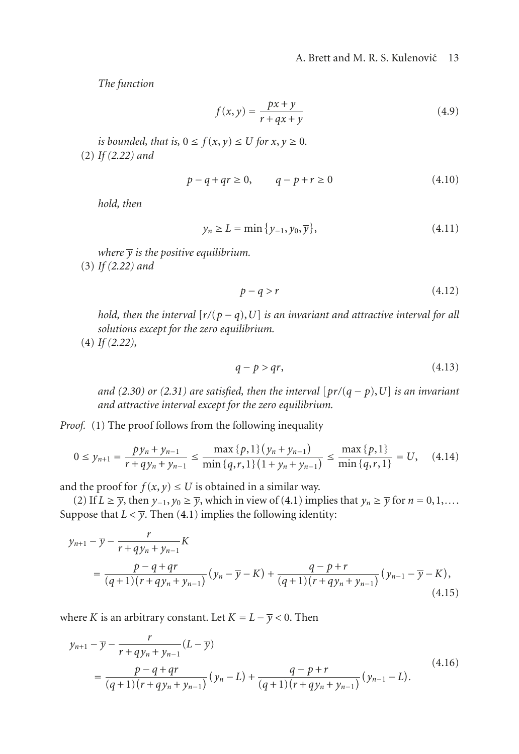<span id="page-12-2"></span><span id="page-12-1"></span>A. Brett and M. R. S. Kulenović 13

*The function*

$$
f(x,y) = \frac{px+y}{r+qx+y}
$$
\n<sup>(4.9)</sup>

*is bounded, that is,*  $0 \le f(x, y) \le U$  *for*  $x, y \ge 0$ *.* (2) *If [\(2.22\)](#page-5-0) and*

$$
p - q + qr \ge 0, \qquad q - p + r \ge 0 \tag{4.10}
$$

*hold, then*

$$
y_n \ge L = \min\left\{y_{-1}, y_0, \overline{y}\right\},\tag{4.11}
$$

*where*  $\bar{y}$  *is the positive equilibrium.* 

(3) *If [\(2.22\)](#page-5-0) and*

$$
p - q > r \tag{4.12}
$$

*hold, then the interval*  $[r/(p-q), U]$  *is an invariant and attractive interval for all solutions except for the zero equilibrium.*

(4) *If [\(2.22\)](#page-5-0),*

<span id="page-12-0"></span>
$$
q - p > qr,\tag{4.13}
$$

*and* [\(2.30\)](#page-6-2) or [\(2.31\)](#page-6-0) are satisfied, then the interval  $[pr/(q - p), U]$  is an invariant *and attractive interval except for the zero equilibrium.*

*Proof.* (1) The proof follows from the following inequality

$$
0 \le y_{n+1} = \frac{py_n + y_{n-1}}{r + qy_n + y_{n-1}} \le \frac{\max\{p, 1\}(y_n + y_{n-1})}{\min\{q, r, 1\}(1 + y_n + y_{n-1})} \le \frac{\max\{p, 1\}}{\min\{q, r, 1\}} = U, \quad (4.14)
$$

and the proof for  $f(x, y) \leq U$  is obtained in a similar way.

(2) If *L* ≥  $\overline{y}$ , then  $y_{-1}$ ,  $y_0 \ge \overline{y}$ , which in view of [\(4.1\)](#page-11-0) implies that  $y_n \ge \overline{y}$  for  $n = 0, 1, \ldots$ Suppose that  $L < \overline{y}$ . Then [\(4.1\)](#page-11-0) implies the following identity:

$$
y_{n+1} - \overline{y} - \frac{r}{r + qy_n + y_{n-1}} K
$$
  
= 
$$
\frac{p - q + qr}{(q+1)(r + qy_n + y_{n-1})} (y_n - \overline{y} - K) + \frac{q - p + r}{(q+1)(r + qy_n + y_{n-1})} (y_{n-1} - \overline{y} - K),
$$
  
(4.15)

where *K* is an arbitrary constant. Let  $K = L - \overline{y} < 0$ . Then

$$
y_{n+1} - \overline{y} - \frac{r}{r + qy_n + y_{n-1}} (L - \overline{y})
$$
  
= 
$$
\frac{p - q + qr}{(q+1)(r + qy_n + y_{n-1})} (y_n - L) + \frac{q - p + r}{(q+1)(r + qy_n + y_{n-1})} (y_{n-1} - L).
$$
 (4.16)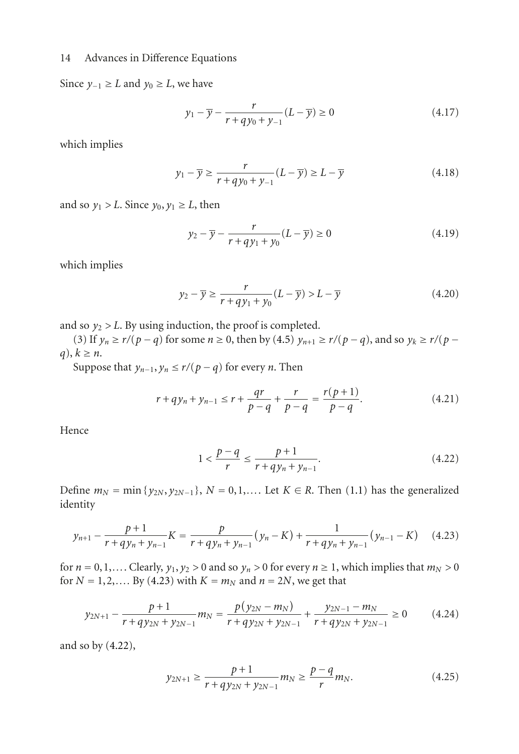Since  $y_{-1}$  ≥ *L* and  $y_0$  ≥ *L*, we have

$$
y_1 - \overline{y} - \frac{r}{r + qy_0 + y_{-1}}(L - \overline{y}) \ge 0
$$
 (4.17)

which implies

$$
y_1 - \overline{y} \ge \frac{r}{r + qy_0 + y_{-1}} (L - \overline{y}) \ge L - \overline{y}
$$
\n(4.18)

and so  $y_1 > L$ . Since  $y_0, y_1 \geq L$ , then

$$
y_2 - \overline{y} - \frac{r}{r + qy_1 + y_0}(L - \overline{y}) \ge 0
$$
 (4.19)

which implies

$$
y_2 - \overline{y} \ge \frac{r}{r + qy_1 + y_0} (L - \overline{y}) > L - \overline{y}
$$
\n(4.20)

and so  $y_2 > L$ . By using induction, the proof is completed.

(3) If *y<sub>n</sub>* ≥ *r*/(*p* − *q*) for some *n* ≥ 0, then by [\(4.5\)](#page-11-1) *y<sub>n+1</sub>* ≥ *r*/(*p* − *q*), and so *y<sub>k</sub>* ≥ *r*/(*p* −  $q$ ,  $k \geq n$ .

Suppose that  $y_{n-1}, y_n \le r/(p-q)$  for every *n*. Then

$$
r + qy_n + y_{n-1} \le r + \frac{qr}{p-q} + \frac{r}{p-q} = \frac{r(p+1)}{p-q}.
$$
 (4.21)

Hence

<span id="page-13-1"></span><span id="page-13-0"></span>
$$
1 < \frac{p - q}{r} \le \frac{p + 1}{r + qy_n + y_{n-1}}.\tag{4.22}
$$

Define  $m_N = \min\{y_{2N}, y_{2N-1}\}, N = 0, 1, \ldots$  Let  $K \in R$ . Then [\(1.1\)](#page-0-0) has the generalized identity

$$
y_{n+1} - \frac{p+1}{r+qy_n + y_{n-1}}K = \frac{p}{r+qy_n + y_{n-1}}(y_n - K) + \frac{1}{r+qy_n + y_{n-1}}(y_{n-1} - K) \tag{4.23}
$$

for  $n = 0, 1, \ldots$  Clearly,  $y_1, y_2 > 0$  and so  $y_n > 0$  for every  $n \ge 1$ , which implies that  $m_N > 0$ for  $N = 1, 2, \dots$  By [\(4.23\)](#page-13-0) with  $K = m_N$  and  $n = 2N$ , we get that

$$
y_{2N+1} - \frac{p+1}{r+qy_{2N} + y_{2N-1}} m_N = \frac{p(y_{2N} - m_N)}{r+qy_{2N} + y_{2N-1}} + \frac{y_{2N-1} - m_N}{r+qy_{2N} + y_{2N-1}} \ge 0
$$
 (4.24)

and so by [\(4.22\)](#page-13-1),

$$
y_{2N+1} \ge \frac{p+1}{r+qy_{2N}+y_{2N-1}} m_N \ge \frac{p-q}{r} m_N.
$$
 (4.25)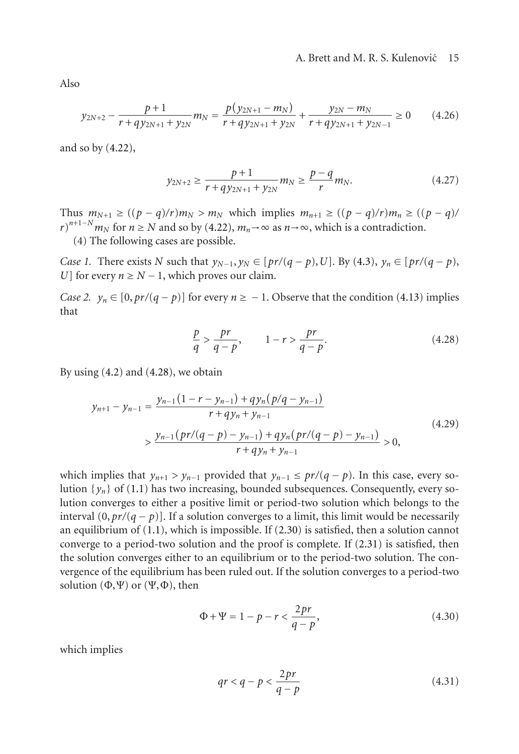#### A. Brett and M. R. S. Kulenović 15

Also

$$
y_{2N+2} - \frac{p+1}{r+q y_{2N+1} + y_{2N}} m_N = \frac{p(y_{2N+1} - m_N)}{r+q y_{2N+1} + y_{2N}} + \frac{y_{2N} - m_N}{r+q y_{2N+1} + y_{2N-1}} \ge 0 \qquad (4.26)
$$

and so by [\(4.22\)](#page-13-1),

$$
y_{2N+2} \ge \frac{p+1}{r+qy_{2N+1}+y_{2N}} m_N \ge \frac{p-q}{r} m_N.
$$
 (4.27)

Thus  $m_{N+1} \ge ((p - q)/r)m_N > m_N$  which implies  $m_{n+1} \ge ((p - q)/r)m_n \ge ((p - q)/r)$  $r^{n+1-N}m_N$  for  $n \ge N$  and so by [\(4.22\)](#page-13-1),  $m_n \to \infty$  as  $n \to \infty$ , which is a contradiction.<br>(4) The following cases are possible

(4) The following cases are possible.

<span id="page-14-2"></span>*Case 1.* There exists *N* such that  $y_{N-1}, y_N \in [pr/(q-p), U]$ . By [\(4.3\)](#page-11-2),  $y_n \in [pr/(q-p),$ *U*] for every  $n \geq N - 1$ , which proves our claim.

<span id="page-14-1"></span>*Case 2.*  $y_n \in [0, pr/(q - p)]$  for every  $n \ge -1$ . Observe that the condition [\(4.13\)](#page-12-0) implies that

<span id="page-14-0"></span>
$$
\frac{p}{q} > \frac{pr}{q-p}, \qquad 1 - r > \frac{pr}{q-p}.\tag{4.28}
$$

By using  $(4.2)$  and  $(4.28)$ , we obtain

$$
y_{n+1} - y_{n-1} = \frac{y_{n-1}(1 - r - y_{n-1}) + qy_n(p/q - y_{n-1})}{r + qy_n + y_{n-1}}
$$
  
> 
$$
\frac{y_{n-1}(pr/(q - p) - y_{n-1}) + qy_n(pr/(q - p) - y_{n-1})}{r + qy_n + y_{n-1}} > 0,
$$
 (4.29)

which implies that  $y_{n+1} > y_{n-1}$  provided that  $y_{n-1} \leq pr/(q - p)$ . In this case, every solution  $\{y_n\}$  of [\(1.1\)](#page-0-0) has two increasing, bounded subsequences. Consequently, every solution converges to either a positive limit or period-two solution which belongs to the interval  $(0, pr/(q - p))$ . If a solution converges to a limit, this limit would be necessarily an equilibrium of  $(1.1)$ , which is impossible. If  $(2.30)$  is satisfied, then a solution cannot converge to a period-two solution and the proof is complete. If [\(2.31\)](#page-6-0) is satisfied, then the solution converges either to an equilibrium or to the period-two solution. The convergence of the equilibrium has been ruled out. If the solution converges to a period-two solution  $(\Phi, \Psi)$  or  $(\Psi, \Phi)$ , then

$$
\Phi + \Psi = 1 - p - r < \frac{2pr}{q - p},\tag{4.30}
$$

which implies

$$
qr < q - p < \frac{2pr}{q - p} \tag{4.31}
$$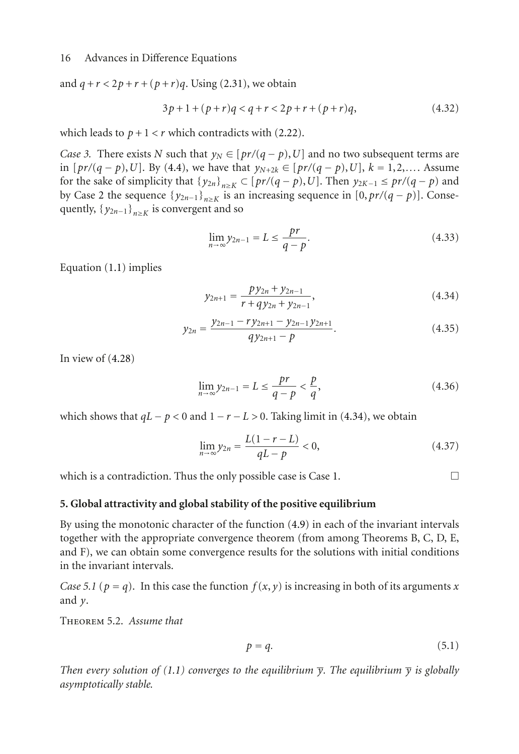and  $q + r < 2p + r + (p + r)q$ . Using [\(2.31\)](#page-6-0), we obtain

$$
3p+1+(p+r)q < q+r < 2p+r+(p+r)q,
$$
\n(4.32)

which leads to  $p + 1 < r$  which contradicts with [\(2.22\)](#page-5-0).

*Case 3.* There exists *N* such that  $y_N \in [pr/(q - p), U]$  and no two subsequent terms are in [*pr*/(*q* − *p*),*U*]. By [\(4.4\)](#page-11-4), we have that  $y_{N+2k}$  ∈ [*pr*/(*q* − *p*),*U*],  $k = 1, 2, \ldots$ . Assume for the sake of simplicity that  $\{y_{2n}\}_{n\geq K} \subset [pr/(q-p), U]$ . Then  $y_{2K-1} \leq pr/(q-p)$  and by Case [2](#page-14-1) the sequence  $\{y_{2n-1}\}_{n\geq K}$  is an increasing sequence in  $[0, pr/(q-p)]$ . Consequently,  $\{y_{2n-1}\}_{n\geq K}$  is convergent and so

$$
\lim_{n \to \infty} y_{2n-1} = L \le \frac{pr}{q - p}.\tag{4.33}
$$

Equation [\(1.1\)](#page-0-0) implies

<span id="page-15-0"></span>
$$
y_{2n+1} = \frac{py_{2n} + y_{2n-1}}{r + qy_{2n} + y_{2n-1}},
$$
\n(4.34)

$$
y_{2n} = \frac{y_{2n-1} - r y_{2n+1} - y_{2n-1} y_{2n+1}}{q y_{2n+1} - p}.
$$
\n(4.35)

In view of  $(4.28)$ 

$$
\lim_{n \to \infty} y_{2n-1} = L \le \frac{pr}{q - p} < \frac{p}{q},\tag{4.36}
$$

which shows that  $qL - p < 0$  and  $1 - r - L > 0$ . Taking limit in [\(4.34\)](#page-15-0), we obtain

$$
\lim_{n \to \infty} y_{2n} = \frac{L(1 - r - L)}{qL - p} < 0,\tag{4.37}
$$

which is a contradiction. Thus the only possible case is Case [1.](#page-14-2)  $\Box$ 

### **5. Global attractivity and global stability of the positive equilibrium**

By using the monotonic character of the function [\(4.9\)](#page-12-1) in each of the invariant intervals together with the appropriate convergence theorem (from among Theorems B, C, D, E, and F), we can obtain some convergence results for the solutions with initial conditions in the invariant intervals.

*Case 5.1* ( $p = q$ ). In this case the function  $f(x, y)$  is increasing in both of its arguments *x* and *y*.

Theorem 5.2. *Assume that*

$$
p = q.\tag{5.1}
$$

*Then every solution of [\(1.1\)](#page-0-0) converges to the equilibrium*  $\overline{y}$ *. The equilibrium*  $\overline{y}$  *is globally asymptotically stable.*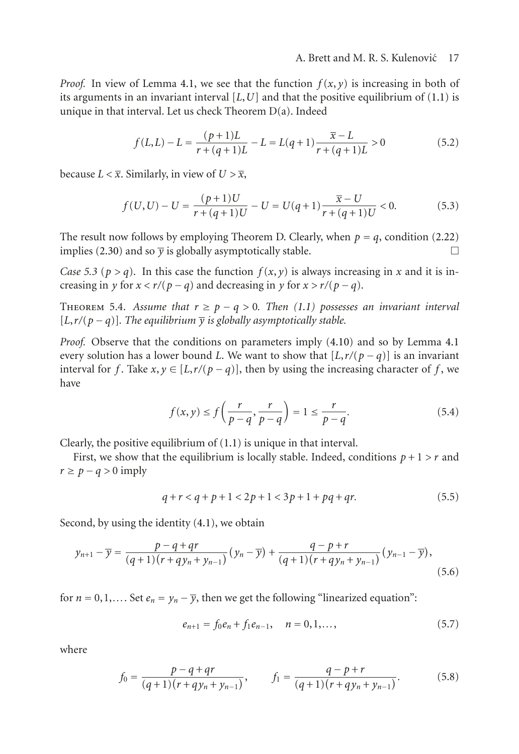*Proof.* In view of Lemma [4.1,](#page-11-5) we see that the function  $f(x, y)$  is increasing in both of its arguments in an invariant interval [*L*,*U*] and that the positive equilibrium of [\(1.1\)](#page-0-0) is unique in that interval. Let us check Theorem D(a). Indeed

$$
f(L,L) - L = \frac{(p+1)L}{r + (q+1)L} - L = L(q+1)\frac{\overline{x} - L}{r + (q+1)L} > 0
$$
\n(5.2)

because  $L < \overline{x}$ . Similarly, in view of  $U > \overline{x}$ ,

$$
f(U, U) - U = \frac{(p+1)U}{r + (q+1)U} - U = U(q+1)\frac{\overline{x} - U}{r + (q+1)U} < 0.
$$
 (5.3)

The result now follows by employing Theorem D. Clearly, when  $p = q$ , condition [\(2.22\)](#page-5-0) implies (2.30) and so  $\overline{v}$  is globally asymptotically stable implies [\(2.30\)](#page-6-2) and so  $\bar{y}$  is globally asymptotically stable.

*Case 5.3* ( $p > q$ ). In this case the function  $f(x, y)$  is always increasing in *x* and it is increasing in *y* for  $x < r/(p - q)$  and decreasing in *y* for  $x > r/(p - q)$ .

THEOREM 5.4. Assume that  $r \ge p - q > 0$ . Then [\(1.1\)](#page-0-0) possesses an invariant interval  $[L, r/(p-q)]$ . The equilibrium  $\overline{y}$  *is globally asymptotically stable.* 

*Proof.* Observe that the conditions on parameters imply [\(4.10\)](#page-12-2) and so by Lemma [4.1](#page-11-5) every solution has a lower bound *L*. We want to show that  $[L, r/(p-q)]$  is an invariant interval for *f*. Take  $x, y \in [L, r/(p-q)]$ , then by using the increasing character of *f*, we have

$$
f(x,y) \le f\left(\frac{r}{p-q}, \frac{r}{p-q}\right) = 1 \le \frac{r}{p-q}.\tag{5.4}
$$

Clearly, the positive equilibrium of [\(1.1\)](#page-0-0) is unique in that interval.

First, we show that the equilibrium is locally stable. Indeed, conditions  $p + 1 > r$  and  $r \ge p - q > 0$  imply

$$
q + r < q + p + 1 < 2p + 1 < 3p + 1 + pq + qr. \tag{5.5}
$$

Second, by using the identity [\(4.1\)](#page-11-0), we obtain

$$
y_{n+1} - \overline{y} = \frac{p - q + qr}{(q+1)(r+qy_n+y_{n-1})}(y_n - \overline{y}) + \frac{q - p + r}{(q+1)(r+qy_n+y_{n-1})}(y_{n-1} - \overline{y}),
$$
\n(5.6)

for  $n = 0, 1, \ldots$  Set  $e_n = y_n - \overline{y}$ , then we get the following "linearized equation":

<span id="page-16-0"></span>
$$
e_{n+1} = f_0 e_n + f_1 e_{n-1}, \quad n = 0, 1, \dots,
$$
\n(5.7)

where

$$
f_0 = \frac{p - q + qr}{(q+1)(r+qy_n + y_{n-1})}, \qquad f_1 = \frac{q - p + r}{(q+1)(r+qy_n + y_{n-1})}.
$$
(5.8)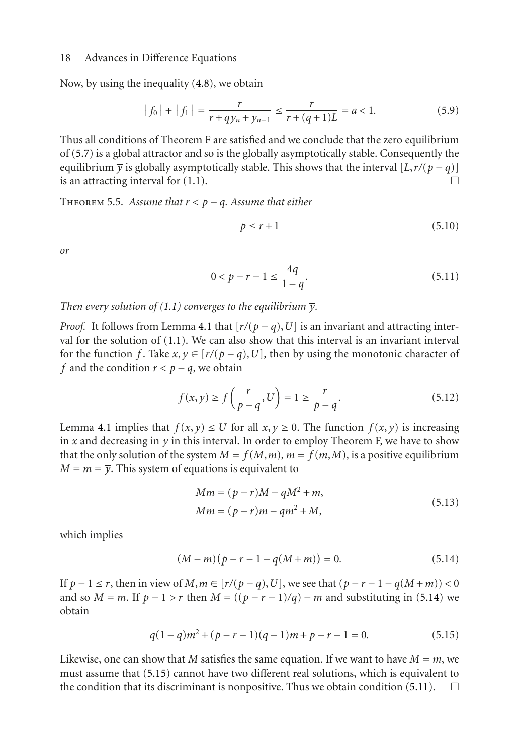Now, by using the inequality [\(4.8\)](#page-11-6), we obtain

$$
|f_0| + |f_1| = \frac{r}{r + qy_n + y_{n-1}} \le \frac{r}{r + (q+1)L} = a < 1.
$$
 (5.9)

Thus all conditions of Theorem F are satisfied and we conclude that the zero equilibrium of [\(5.7\)](#page-16-0) is a global attractor and so is the globally asymptotically stable. Consequently the equilibrium  $\overline{y}$  is globally asymptotically stable. This shows that the interval  $[L, r/(p - q)]$ <br>is an attracting interval for (1.1) is an attracting interval for  $(1.1)$ .

THEOREM 5.5. Assume that  $r < p - a$ . Assume that either

<span id="page-17-3"></span><span id="page-17-2"></span>
$$
p \le r + 1 \tag{5.10}
$$

*or*

$$
0 < p - r - 1 \le \frac{4q}{1 - q}.\tag{5.11}
$$

*Then every solution of [\(1.1\)](#page-0-0) converges to the equilibrium*  $\overline{y}$ *.* 

*Proof.* It follows from Lemma [4.1](#page-11-5) that  $[r/(p-q), U]$  is an invariant and attracting interval for the solution of [\(1.1\)](#page-0-0). We can also show that this interval is an invariant interval for the function *f*. Take  $x, y \in [r/(p-q), U]$ , then by using the monotonic character of *f* and the condition  $r < p - q$ , we obtain

$$
f(x,y) \ge f\left(\frac{r}{p-q}, U\right) = 1 \ge \frac{r}{p-q}.\tag{5.12}
$$

Lemma [4.1](#page-11-5) implies that  $f(x, y) \leq U$  for all  $x, y \geq 0$ . The function  $f(x, y)$  is increasing in  $x$  and decreasing in  $y$  in this interval. In order to employ Theorem F, we have to show that the only solution of the system  $M = f(M,m)$ ,  $m = f(m,M)$ , is a positive equilibrium  $M = m = \overline{y}$ . This system of equations is equivalent to

<span id="page-17-0"></span>
$$
Mm = (p - r)M - qM^{2} + m,
$$
  
\n
$$
Mm = (p - r)m - qm^{2} + M,
$$
\n(5.13)

which implies

<span id="page-17-1"></span>
$$
(M-m)(p-r-1-q(M+m)) = 0.
$$
 (5.14)

If *p* − 1 ≤ *r*, then in view of *M*, *m* ∈ [*r*/(*p* − *q*), *U*], we see that  $(p - r - 1 - q(M + m)) < 0$ and so  $M = m$ . If  $p - 1 > r$  then  $M = ((p - r - 1)/q) - m$  and substituting in [\(5.14\)](#page-17-0) we obtain

$$
q(1-q)m^2 + (p-r-1)(q-1)m + p - r - 1 = 0.
$$
 (5.15)

Likewise, one can show that *M* satisfies the same equation. If we want to have  $M = m$ , we must assume that [\(5.15\)](#page-17-1) cannot have two different real solutions, which is equivalent to the condition that its discriminant is nonpositive. Thus we obtain condition [\(5.11\)](#page-17-2).  $\Box$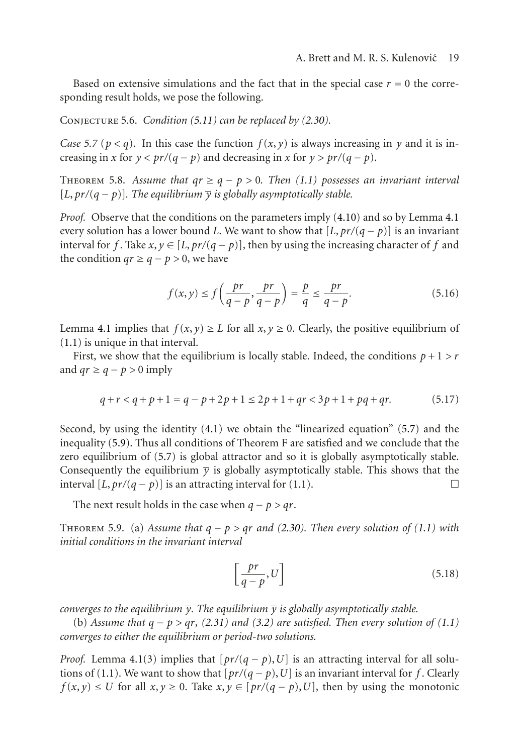Based on extensive simulations and the fact that in the special case  $r = 0$  the corresponding result holds, we pose the following.

Conjecture 5.6. *Condition [\(5.11\)](#page-17-2) can be replaced by [\(2.30\)](#page-6-2).*

*Case 5.7* ( $p < q$ ). In this case the function  $f(x, y)$  is always increasing in y and it is increasing in *x* for  $y < pr/(q - p)$  and decreasing in *x* for  $y > pr/(q - p)$ .

THEOREM 5.8. Assume that  $qr \geq q - p > 0$ . Then [\(1.1\)](#page-0-0) possesses an invariant interval [ $L, pr/(q - p)$ ]. The equilibrium  $\overline{y}$  *is globally asymptotically stable.* 

*Proof.* Observe that the conditions on the parameters imply [\(4.10\)](#page-12-2) and so by Lemma [4.1](#page-11-5) every solution has a lower bound *L*. We want to show that  $[L, pr/(q - p)]$  is an invariant interval for *f*. Take  $x, y \in [L, pr/(q - p)]$ , then by using the increasing character of *f* and the condition  $qr \geq q - p > 0$ , we have

$$
f(x,y) \le f\left(\frac{pr}{q-p}, \frac{pr}{q-p}\right) = \frac{p}{q} \le \frac{pr}{q-p}.\tag{5.16}
$$

Lemma [4.1](#page-11-5) implies that  $f(x, y) \ge L$  for all  $x, y \ge 0$ . Clearly, the positive equilibrium of [\(1.1\)](#page-0-0) is unique in that interval.

First, we show that the equilibrium is locally stable. Indeed, the conditions  $p + 1 > r$ and  $qr \geq q - p > 0$  imply

$$
q + r < q + p + 1 = q - p + 2p + 1 \le 2p + 1 + qr < 3p + 1 + pq + qr. \tag{5.17}
$$

Second, by using the identity [\(4.1\)](#page-11-0) we obtain the "linearized equation" [\(5.7\)](#page-16-0) and the inequality [\(5.9\)](#page-17-3). Thus all conditions of Theorem F are satisfied and we conclude that the zero equilibrium of [\(5.7\)](#page-16-0) is global attractor and so it is globally asymptotically stable. Consequently the equilibrium  $\overline{y}$  is globally asymptotically stable. This shows that the interval  $[I, pr/(a-n)]$  is an attracting interval for (1.1) interval  $[L, pr/(q - p)]$  is an attracting interval for  $(1.1)$ .

The next result holds in the case when  $q - p > qr$ .

THEOREM 5.9. (a) Assume that  $q - p > qr$  and [\(2.30\)](#page-6-2). Then every solution of [\(1.1\)](#page-0-0) with *initial conditions in the invariant interval*

$$
\left[\frac{pr}{q-p}, U\right] \tag{5.18}
$$

*converges to the equilibrium*  $\overline{y}$ *. The equilibrium*  $\overline{y}$  *is globally asymptotically stable.* 

(b) *Assume that q* <sup>−</sup> *p > qr, [\(2.31\)](#page-6-0) and [\(3.2\)](#page-6-3) are satisfied. Then every solution of [\(1.1\)](#page-0-0) converges to either the equilibrium or period-two solutions.*

*Proof.* Lemma [4.1\(](#page-11-5)3) implies that  $[pr/(q - p), U]$  is an attracting interval for all solu-tions of [\(1.1\)](#page-0-0). We want to show that  $[pr/(q-p), U]$  is an invariant interval for *f*. Clearly *f*(*x*, *y*) ≤ *U* for all *x*, *y* ≤ 0. Take *x*, *y* ∈ [*pr*/(*q* − *p*), *U*], then by using the monotonic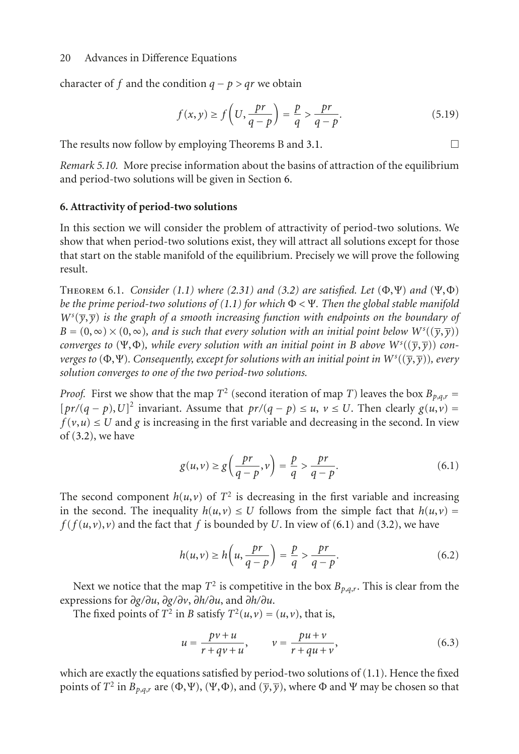character of *f* and the condition  $q - p > qr$  we obtain

$$
f(x,y) \ge f\left(U, \frac{pr}{q-p}\right) = \frac{p}{q} > \frac{pr}{q-p}.\tag{5.19}
$$

The results now follow by employing Theorems B and [3.1.](#page-6-1)  $\Box$ 

*Remark 5.10.* More precise information about the basins of attraction of the equilibrium and period-two solutions will be given in Section [6.](#page-19-0)

#### <span id="page-19-0"></span>**6. Attractivity of period-two solutions**

In this section we will consider the problem of attractivity of period-two solutions. We show that when period-two solutions exist, they will attract all solutions except for those that start on the stable manifold of the equilibrium. Precisely we will prove the following result.

<span id="page-19-2"></span>THEOREM 6.1. *Consider* [\(1.1\)](#page-0-0) where [\(2.31\)](#page-6-0) and [\(3.2\)](#page-6-3) are satisfied. Let  $(\Phi, \Psi)$  and  $(\Psi, \Phi)$ *be the prime period-two solutions of [\(1.1\)](#page-0-0) for which* <sup>Φ</sup> *<* <sup>Ψ</sup>*. Then the global stable manifold*  $\frac{V}{R}$  $W^{s}(\overline{y}, \overline{y})$  *is the graph of a smooth increasing function with endpoints on the boundary of B* = (0,∞)×(0,∞), and is such that every solution with an initial point below  $W^s((\overline{y}, \overline{y}))$ <br>converges to (Ψ Φ), while every solution with an initial point in B above  $W^s((\overline{y}, \overline{y}))$  con*converges to* (Ψ,Φ)*, while every solution with an initial point in B above*  $W^s((\overline{y}, \overline{y}))$  *<i>con-*<br>*verges to* (Φ,Ψ). *Consequently except for solutions with an initial point in*  $W^s((\overline{x}, \overline{y}))$ *, every verges to*  $(\Phi, \Psi)$ *. Consequently, except for solutions with an initial point in*  $W^s((\overline{y}, \overline{y}))$ *, every* solution converges to one of the two period-two solutions *solution converges to one of the two period-two solutions.*

*Proof.* First we show that the map  $T^2$  (second iteration of map *T*) leaves the box  $B_{p,q,r}$  =  $[pr/(q - p), U]^2$  invariant. Assume that  $pr/(q - p) \le u, v \le U$ . Then clearly  $g(u, v) = f(v, u) \le U$  and *a* is increasing in the first variable and decreasing in the second. In view  $f(v, u) \leq U$  and *g* is increasing in the first variable and decreasing in the second. In view of [\(3.2\)](#page-6-3), we have

<span id="page-19-1"></span>
$$
g(u,v) \ge g\left(\frac{pr}{q-p},v\right) = \frac{p}{q} > \frac{pr}{q-p}.\tag{6.1}
$$

The second component  $h(u, v)$  of  $T<sup>2</sup>$  is decreasing in the first variable and increasing in the second. The inequality  $h(u, v) \leq U$  follows from the simple fact that  $h(u, v) =$  $f(f(u, v), v)$  and the fact that *f* is bounded by *U*. In view of [\(6.1\)](#page-19-1) and [\(3.2\)](#page-6-3), we have

$$
h(u,v) \ge h\left(u, \frac{pr}{q-p}\right) = \frac{p}{q} > \frac{pr}{q-p}.\tag{6.2}
$$

Next we notice that the map  $T^2$  is competitive in the box  $B_{p,q,r}$ . This is clear from the expressions for *∂g/∂u*, *∂g/∂v*, *∂h/∂u*, and *∂h/∂u*.

The fixed points of  $T^2$  in *B* satisfy  $T^2(u, v) = (u, v)$ , that is,

$$
u = \frac{pv + u}{r + qv + u}, \qquad v = \frac{pu + v}{r + qu + v}, \tag{6.3}
$$

which are exactly the equations satisfied by period-two solutions of [\(1.1\)](#page-0-0). Hence the fixed points of  $T^2$  in  $B_{p,q,r}$  are  $(\Phi, \Psi)$ ,  $(\Psi, \Phi)$ , and  $(\overline{y}, \overline{y})$ , where  $\Phi$  and  $\Psi$  may be chosen so that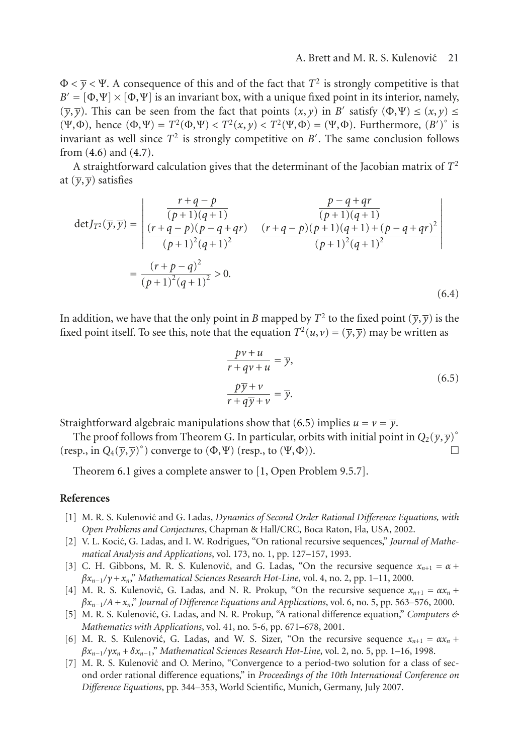$\Phi < \overline{\nu} < V$ . A consequence of this and of the fact that  $T^2$  is strongly competitive is that  $B' = [\Phi, \Psi] \times [\Phi, \Psi]$  is an invariant box, with a unique fixed point in its interior, namely,  $(\overline{v}, \overline{v})$ . This can be seen from the fact that points  $(x, y)$  in *B'* satisfy  $(\Phi, \Psi) \leq (x, y) \leq$ (Ψ,Φ), hence  $(\Phi, \Psi) = T^2(\Phi, \Psi) < T^2(x, y) < T^2(\Psi, \Phi) = (\Psi, \Phi)$ . Furthermore,  $(B')^{\circ}$  is invariant as well since  $T^2$  is strongly connectitive on  $B'$ . The same conclusion follows invariant as well since  $T^2$  is strongly competitive on *B'*. The same conclusion follows from (4.6) and (4.7) from [\(4.6\)](#page-11-7) and [\(4.7\)](#page-11-8).

A straightforward calculation gives that the determinant of the Jacobian matrix of *T*<sup>2</sup> at  $(\overline{y}, \overline{y})$  satisfies

$$
\det J_{T^2}(\overline{y}, \overline{y}) = \begin{vmatrix} \frac{r+q-p}{(p+1)(q+1)} & \frac{p-q+qr}{(p+1)(q+1)} \\ \frac{(r+q-p)(p-q+qr)}{(p+1)^2(q+1)^2} & \frac{(r+q-p)(p+1)(q+1)+(p-q+qr)^2}{(p+1)^2(q+1)^2} \end{vmatrix} = \frac{(r+p-q)^2}{(p+1)^2(q+1)^2} > 0.
$$
\n(6.4)

In addition, we have that the only point in *B* mapped by  $T^2$  to the fixed point  $(\overline{y}, \overline{y})$  is the fixed point itself. To see this, note that the equation  $T^2(u, v) = (\overline{y}, \overline{y})$  may be written as

<span id="page-20-6"></span>
$$
\frac{p\nu + u}{r + q\nu + u} = \overline{y},
$$
  

$$
\frac{p\overline{y} + v}{r + q\overline{y} + v} = \overline{y}.
$$
 (6.5)

Straightforward algebraic manipulations show that [\(6.5\)](#page-20-6) implies  $u = v = \overline{y}$ .

The proof follows from Theorem G. In particular, orbits with initial point in  $Q_2(\overline{y}, \overline{y})^{\circ}$ (resp., in  $Q_4(\overline{y}, \overline{y})^{\circ}$ ) converge to  $(\Phi, \Psi)$  (resp., to  $(\Psi, \Phi)$ ).

Theorem [6.1](#page-19-2) gives a complete answer to [\[1](#page-20-1), Open Problem 9.5.7].

#### <span id="page-20-0"></span>**References**

- <span id="page-20-1"></span>[1] M. R. S. Kulenovic and G. Ladas, *Dynamics of Second Order Rational Difference Equations, with Open Problems and Conjectures*, Chapman & Hall/CRC, Boca Raton, Fla, USA, 2002.
- [2] V. L. Kocić, G. Ladas, and I. W. Rodrigues, "On rational recursive sequences," *Journal of Mathematical Analysis and Applications*, vol. 173, no. 1, pp. 127–157, 1993.
- [3] C. H. Gibbons, M. R. S. Kulenović, and G. Ladas, "On the recursive sequence  $x_{n+1} = \alpha +$ *βxn*<sup>−</sup><sup>1</sup>*/γ* <sup>+</sup>*xn*," *Mathematical Sciences Research Hot-Line*, vol. 4, no. 2, pp. 1–11, 2000.
- <span id="page-20-3"></span>[4] M. R. S. Kulenović, G. Ladas, and N. R. Prokup, "On the recursive sequence  $x_{n+1} = \alpha x_n +$ *βxn*<sup>−</sup><sup>1</sup>*/A*+*xn*," *Journal of Difference Equations and Applications*, vol. 6, no. 5, pp. 563–576, 2000.
- <span id="page-20-4"></span>[5] M. R. S. Kulenović, G. Ladas, and N. R. Prokup, "A rational difference equation," *Computers & Mathematics with Applications*, vol. 41, no. 5-6, pp. 671–678, 2001.
- <span id="page-20-2"></span>[6] M. R. S. Kulenović, G. Ladas, and W. S. Sizer, "On the recursive sequence  $x_{n+1} = \alpha x_n$  + *βxn*<sup>−</sup><sup>1</sup>*/γxn* <sup>+</sup>*δxn*<sup>−</sup>1," *Mathematical Sciences Research Hot-Line*, vol. 2, no. 5, pp. 1–16, 1998.
- <span id="page-20-5"></span>[7] M. R. S. Kulenović and O. Merino, "Convergence to a period-two solution for a class of second order rational difference equations," in *Proceedings of the 10th International Conference on Difference Equations*, pp. 344–353, World Scientific, Munich, Germany, July 2007.